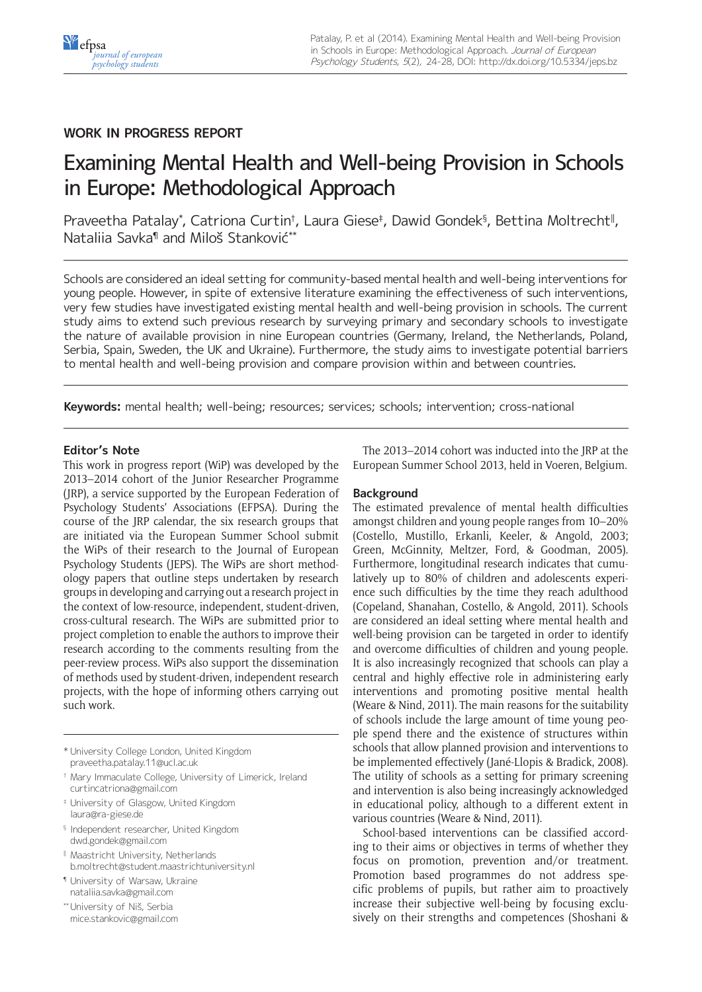# **WORK IN PROGRESS REPORT**

# Examining Mental Health and Well-being Provision in Schools in Europe: Methodological Approach

Praveetha Patalay\*, Catriona Curtin†, Laura Giese‡, Dawid Gondek§, Bettina Moltrecht∥, Nataliia Savka¶ and Miloš Stanković\*\*

Schools are considered an ideal setting for community-based mental health and well-being interventions for young people. However, in spite of extensive literature examining the effectiveness of such interventions, very few studies have investigated existing mental health and well-being provision in schools. The current study aims to extend such previous research by surveying primary and secondary schools to investigate the nature of available provision in nine European countries (Germany, Ireland, the Netherlands, Poland, Serbia, Spain, Sweden, the UK and Ukraine). Furthermore, the study aims to investigate potential barriers to mental health and well-being provision and compare provision within and between countries.

**Keywords:** mental health; well-being; resources; services; schools; intervention; cross-national

# **Editor's Note**

This work in progress report (WiP) was developed by the 2013–2014 cohort of the Junior Researcher Programme (JRP), a service supported by the European Federation of Psychology Students' Associations (EFPSA). During the course of the JRP calendar, the six research groups that are initiated via the European Summer School submit the WiPs of their research to the Journal of European Psychology Students (JEPS). The WiPs are short methodology papers that outline steps undertaken by research groups in developing and carrying out a research project in the context of low-resource, independent, student-driven, cross-cultural research. The WiPs are submitted prior to project completion to enable the authors to improve their research according to the comments resulting from the peer-review process. WiPs also support the dissemination of methods used by student-driven, independent research projects, with the hope of informing others carrying out such work.

\* University College London, United Kingdom [praveetha.patalay.11@ucl.ac.uk](mailto:praveetha.patalay.11@ucl.ac.uk)

- † Mary Immaculate College, University of Limerick, Ireland [curtincatriona@gmail.com](mailto:curtincatriona@gmail.com)
- ‡ University of Glasgow, United Kingdom [laura@ra-giese.de](mailto:laura@ra-giese.de, dwd.gondek@gmail.com)
- § [Independent researcher, United Kingdom](mailto:laura@ra-giese.de, dwd.gondek@gmail.com) [dwd.gondek@gmail.com](mailto:laura@ra-giese.de, dwd.gondek@gmail.com)
- ‖ Maastricht University, Netherlands [b.moltrecht@student.maastrichtuniversity.nl](mailto:b.moltrecht@student.maastrichtuniversity.nl)
- ¶ University of Warsaw, Ukraine [nataliia.savka@gmail.com](mailto:nataliia.savka@gmail.com)
- \*\*University of Niš, Serbia [mice.stankovic@gmail.com](mailto:mice.stankovic@gmail.com)

The 2013–2014 cohort was inducted into the JRP at the European Summer School 2013, held in Voeren, Belgium.

# **Background**

The estimated prevalence of mental health difficulties amongst children and young people ranges from 10–20% (Costello, Mustillo, Erkanli, Keeler, & Angold, 2003; Green, McGinnity, Meltzer, Ford, & Goodman, 2005). Furthermore, longitudinal research indicates that cumulatively up to 80% of children and adolescents experience such difficulties by the time they reach adulthood (Copeland, Shanahan, Costello, & Angold, 2011). Schools are considered an ideal setting where mental health and well-being provision can be targeted in order to identify and overcome difficulties of children and young people. It is also increasingly recognized that schools can play a central and highly effective role in administering early interventions and promoting positive mental health (Weare & Nind, 2011). The main reasons for the suitability of schools include the large amount of time young people spend there and the existence of structures within schools that allow planned provision and interventions to be implemented effectively (Jané-Llopis & Bradick, 2008). The utility of schools as a setting for primary screening and intervention is also being increasingly acknowledged in educational policy, although to a different extent in various countries (Weare & Nind, 2011).

School-based interventions can be classified according to their aims or objectives in terms of whether they focus on promotion, prevention and/or treatment. Promotion based programmes do not address specific problems of pupils, but rather aim to proactively increase their subjective well-being by focusing exclusively on their strengths and competences (Shoshani &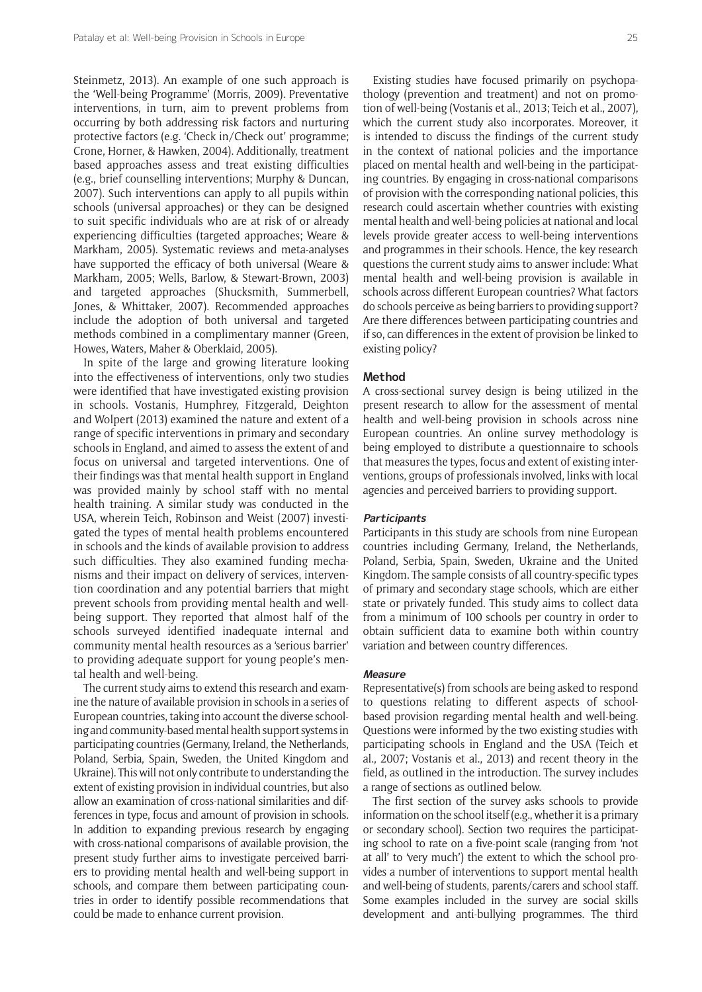Steinmetz, 2013). An example of one such approach is the 'Well-being Programme' (Morris, 2009). Preventative interventions, in turn, aim to prevent problems from occurring by both addressing risk factors and nurturing protective factors (e.g. 'Check in/Check out' programme; Crone, Horner, & Hawken, 2004). Additionally, treatment based approaches assess and treat existing difficulties (e.g., brief counselling interventions; Murphy & Duncan, 2007). Such interventions can apply to all pupils within schools (universal approaches) or they can be designed to suit specific individuals who are at risk of or already experiencing difficulties (targeted approaches; Weare & Markham, 2005). Systematic reviews and meta-analyses have supported the efficacy of both universal (Weare & Markham, 2005; Wells, Barlow, & Stewart-Brown, 2003) and targeted approaches (Shucksmith, Summerbell, Jones, & Whittaker, 2007). Recommended approaches include the adoption of both universal and targeted methods combined in a complimentary manner (Green, Howes, Waters, Maher & Oberklaid, 2005).

In spite of the large and growing literature looking into the effectiveness of interventions, only two studies were identified that have investigated existing provision in schools. Vostanis, Humphrey, Fitzgerald, Deighton and Wolpert (2013) examined the nature and extent of a range of specific interventions in primary and secondary schools in England, and aimed to assess the extent of and focus on universal and targeted interventions. One of their findings was that mental health support in England was provided mainly by school staff with no mental health training. A similar study was conducted in the USA, wherein Teich, Robinson and Weist (2007) investigated the types of mental health problems encountered in schools and the kinds of available provision to address such difficulties. They also examined funding mechanisms and their impact on delivery of services, intervention coordination and any potential barriers that might prevent schools from providing mental health and wellbeing support. They reported that almost half of the schools surveyed identified inadequate internal and community mental health resources as a 'serious barrier' to providing adequate support for young people's mental health and well-being.

The current study aims to extend this research and examine the nature of available provision in schools in a series of European countries, taking into account the diverse schooling and community-based mental health support systems in participating countries (Germany, Ireland, the Netherlands, Poland, Serbia, Spain, Sweden, the United Kingdom and Ukraine). This will not only contribute to understanding the extent of existing provision in individual countries, but also allow an examination of cross-national similarities and differences in type, focus and amount of provision in schools. In addition to expanding previous research by engaging with cross-national comparisons of available provision, the present study further aims to investigate perceived barriers to providing mental health and well-being support in schools, and compare them between participating countries in order to identify possible recommendations that could be made to enhance current provision.

Existing studies have focused primarily on psychopathology (prevention and treatment) and not on promotion of well-being (Vostanis et al., 2013; Teich et al., 2007), which the current study also incorporates. Moreover, it is intended to discuss the findings of the current study in the context of national policies and the importance placed on mental health and well-being in the participating countries. By engaging in cross-national comparisons of provision with the corresponding national policies, this research could ascertain whether countries with existing mental health and well-being policies at national and local levels provide greater access to well-being interventions and programmes in their schools. Hence, the key research questions the current study aims to answer include: What mental health and well-being provision is available in schools across different European countries? What factors do schools perceive as being barriers to providing support? Are there differences between participating countries and if so, can differences in the extent of provision be linked to existing policy?

# **Method**

A cross-sectional survey design is being utilized in the present research to allow for the assessment of mental health and well-being provision in schools across nine European countries. An online survey methodology is being employed to distribute a questionnaire to schools that measures the types, focus and extent of existing interventions, groups of professionals involved, links with local agencies and perceived barriers to providing support.

#### **Participants**

Participants in this study are schools from nine European countries including Germany, Ireland, the Netherlands, Poland, Serbia, Spain, Sweden, Ukraine and the United Kingdom. The sample consists of all country-specific types of primary and secondary stage schools, which are either state or privately funded. This study aims to collect data from a minimum of 100 schools per country in order to obtain sufficient data to examine both within country variation and between country differences.

#### **Measure**

Representative(s) from schools are being asked to respond to questions relating to different aspects of schoolbased provision regarding mental health and well-being. Questions were informed by the two existing studies with participating schools in England and the USA (Teich et al., 2007; Vostanis et al., 2013) and recent theory in the field, as outlined in the introduction. The survey includes a range of sections as outlined below.

The first section of the survey asks schools to provide information on the school itself (e.g., whether it is a primary or secondary school). Section two requires the participating school to rate on a five-point scale (ranging from 'not at all' to 'very much') the extent to which the school provides a number of interventions to support mental health and well-being of students, parents/carers and school staff. Some examples included in the survey are social skills development and anti-bullying programmes. The third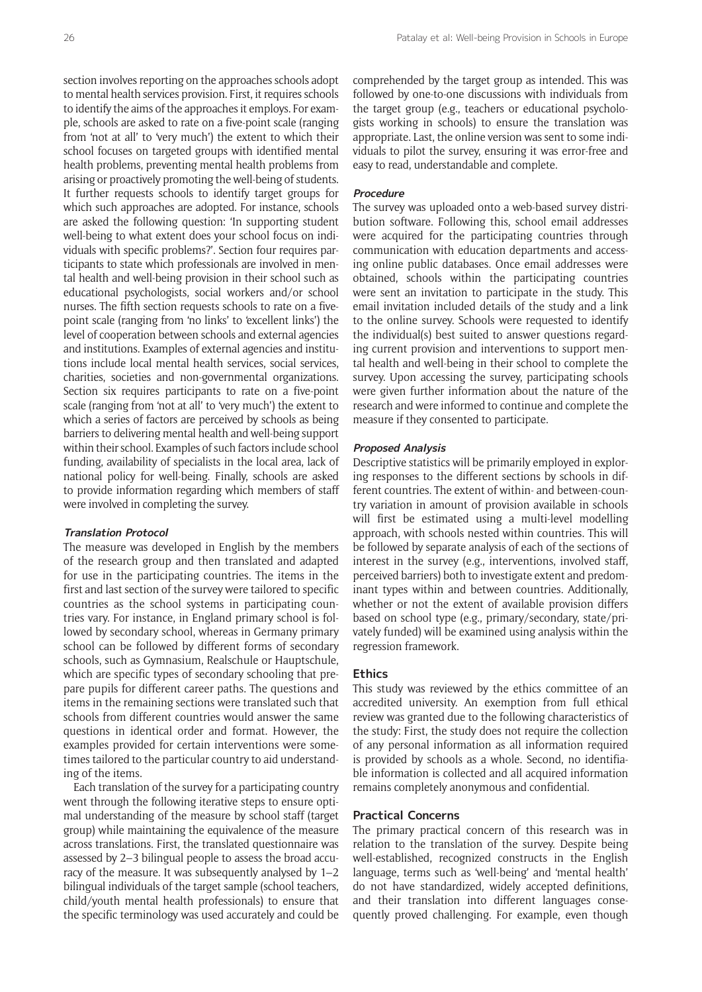section involves reporting on the approaches schools adopt to mental health services provision. First, it requires schools to identify the aims of the approaches it employs. For example, schools are asked to rate on a five-point scale (ranging from 'not at all' to 'very much') the extent to which their school focuses on targeted groups with identified mental health problems, preventing mental health problems from arising or proactively promoting the well-being of students. It further requests schools to identify target groups for which such approaches are adopted. For instance, schools are asked the following question: 'In supporting student well-being to what extent does your school focus on individuals with specific problems?'. Section four requires participants to state which professionals are involved in mental health and well-being provision in their school such as educational psychologists, social workers and/or school nurses. The fifth section requests schools to rate on a fivepoint scale (ranging from 'no links' to 'excellent links') the level of cooperation between schools and external agencies and institutions. Examples of external agencies and institutions include local mental health services, social services, charities, societies and non-governmental organizations. Section six requires participants to rate on a five-point scale (ranging from 'not at all' to 'very much') the extent to which a series of factors are perceived by schools as being barriers to delivering mental health and well-being support within their school. Examples of such factors include school funding, availability of specialists in the local area, lack of national policy for well-being. Finally, schools are asked to provide information regarding which members of staff were involved in completing the survey.

# **Translation Protocol**

The measure was developed in English by the members of the research group and then translated and adapted for use in the participating countries. The items in the first and last section of the survey were tailored to specific countries as the school systems in participating countries vary. For instance, in England primary school is followed by secondary school, whereas in Germany primary school can be followed by different forms of secondary schools, such as Gymnasium, Realschule or Hauptschule, which are specific types of secondary schooling that prepare pupils for different career paths. The questions and items in the remaining sections were translated such that schools from different countries would answer the same questions in identical order and format. However, the examples provided for certain interventions were sometimes tailored to the particular country to aid understanding of the items.

Each translation of the survey for a participating country went through the following iterative steps to ensure optimal understanding of the measure by school staff (target group) while maintaining the equivalence of the measure across translations. First, the translated questionnaire was assessed by 2–3 bilingual people to assess the broad accuracy of the measure. It was subsequently analysed by 1–2 bilingual individuals of the target sample (school teachers, child/youth mental health professionals) to ensure that the specific terminology was used accurately and could be comprehended by the target group as intended. This was followed by one-to-one discussions with individuals from the target group (e.g., teachers or educational psychologists working in schools) to ensure the translation was appropriate. Last, the online version was sent to some individuals to pilot the survey, ensuring it was error-free and easy to read, understandable and complete.

# **Procedure**

The survey was uploaded onto a web-based survey distribution software. Following this, school email addresses were acquired for the participating countries through communication with education departments and accessing online public databases. Once email addresses were obtained, schools within the participating countries were sent an invitation to participate in the study. This email invitation included details of the study and a link to the online survey. Schools were requested to identify the individual(s) best suited to answer questions regarding current provision and interventions to support mental health and well-being in their school to complete the survey. Upon accessing the survey, participating schools were given further information about the nature of the research and were informed to continue and complete the measure if they consented to participate.

### **Proposed Analysis**

Descriptive statistics will be primarily employed in exploring responses to the different sections by schools in different countries. The extent of within- and between-country variation in amount of provision available in schools will first be estimated using a multi-level modelling approach, with schools nested within countries. This will be followed by separate analysis of each of the sections of interest in the survey (e.g., interventions, involved staff, perceived barriers) both to investigate extent and predominant types within and between countries. Additionally, whether or not the extent of available provision differs based on school type (e.g., primary/secondary, state/privately funded) will be examined using analysis within the regression framework.

#### **Ethics**

This study was reviewed by the ethics committee of an accredited university. An exemption from full ethical review was granted due to the following characteristics of the study: First, the study does not require the collection of any personal information as all information required is provided by schools as a whole. Second, no identifiable information is collected and all acquired information remains completely anonymous and confidential.

# **Practical Concerns**

The primary practical concern of this research was in relation to the translation of the survey. Despite being well-established, recognized constructs in the English language, terms such as 'well-being' and 'mental health' do not have standardized, widely accepted definitions, and their translation into different languages consequently proved challenging. For example, even though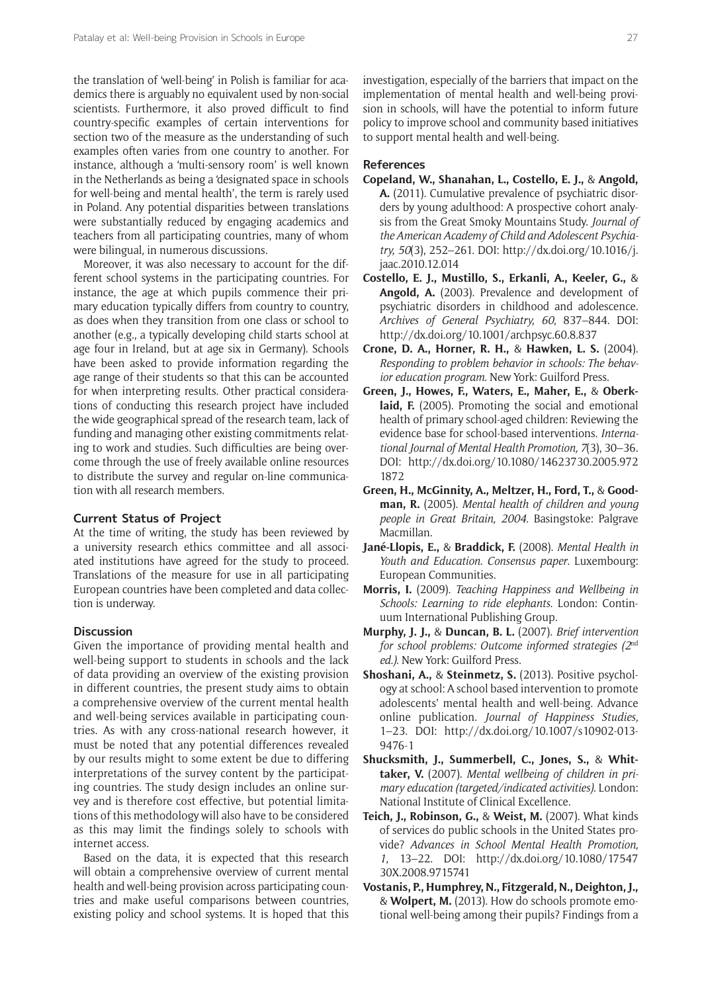the translation of 'well-being' in Polish is familiar for academics there is arguably no equivalent used by non-social scientists. Furthermore, it also proved difficult to find country-specific examples of certain interventions for section two of the measure as the understanding of such examples often varies from one country to another. For instance, although a 'multi-sensory room' is well known in the Netherlands as being a 'designated space in schools for well-being and mental health', the term is rarely used in Poland. Any potential disparities between translations were substantially reduced by engaging academics and teachers from all participating countries, many of whom were bilingual, in numerous discussions.

Moreover, it was also necessary to account for the different school systems in the participating countries. For instance, the age at which pupils commence their primary education typically differs from country to country, as does when they transition from one class or school to another (e.g., a typically developing child starts school at age four in Ireland, but at age six in Germany). Schools have been asked to provide information regarding the age range of their students so that this can be accounted for when interpreting results. Other practical considerations of conducting this research project have included the wide geographical spread of the research team, lack of funding and managing other existing commitments relating to work and studies. Such difficulties are being overcome through the use of freely available online resources to distribute the survey and regular on-line communication with all research members.

### **Current Status of Project**

At the time of writing, the study has been reviewed by a university research ethics committee and all associated institutions have agreed for the study to proceed. Translations of the measure for use in all participating European countries have been completed and data collection is underway.

# **Discussion**

Given the importance of providing mental health and well-being support to students in schools and the lack of data providing an overview of the existing provision in different countries, the present study aims to obtain a comprehensive overview of the current mental health and well-being services available in participating countries. As with any cross-national research however, it must be noted that any potential differences revealed by our results might to some extent be due to differing interpretations of the survey content by the participating countries. The study design includes an online survey and is therefore cost effective, but potential limitations of this methodology will also have to be considered as this may limit the findings solely to schools with internet access.

Based on the data, it is expected that this research will obtain a comprehensive overview of current mental health and well-being provision across participating countries and make useful comparisons between countries, existing policy and school systems. It is hoped that this

investigation, especially of the barriers that impact on the implementation of mental health and well-being provision in schools, will have the potential to inform future policy to improve school and community based initiatives to support mental health and well-being.

# **References**

- **Copeland, W., Shanahan, L., Costello, E. J.,** & **Angold, A.** (2011). Cumulative prevalence of psychiatric disorders by young adulthood: A prospective cohort analysis from the Great Smoky Mountains Study. *Journal of the American Academy of Child and Adolescent Psychiatry, 50*(3), 252–261. DOI: [http://dx.doi.org/10.1016/j.](http://dx.doi.org/10.1016/j.jaac.2010.12.014) [jaac.2010.12.014](http://dx.doi.org/10.1016/j.jaac.2010.12.014)
- **Costello, E. J., Mustillo, S., Erkanli, A., Keeler, G.,** & **Angold, A.** (2003). Prevalence and development of psychiatric disorders in childhood and adolescence. *Archives of General Psychiatry, 60*, 837–844. DOI: <http://dx.doi.org/10.1001/archpsyc.60.8.837>
- **Crone, D. A., Horner, R. H.,** & **Hawken, L. S.** (2004). *Responding to problem behavior in schools: The behavior education program.* New York: Guilford Press.
- **Green, J., Howes, F., Waters, E., Maher, E.,** & **Oberk**laid, F. (2005). Promoting the social and emotional health of primary school-aged children: Reviewing the evidence base for school-based interventions. *International Journal of Mental Health Promotion, 7*(3), 30–36. DOI: [http://dx.doi.org/10.1080/14623730.2005.972](http://dx.doi.org/10.1080/14623730.2005.9721872) [1872](http://dx.doi.org/10.1080/14623730.2005.9721872)
- **Green, H., McGinnity, A., Meltzer, H., Ford, T.,** & **Goodman, R.** (2005). *Mental health of children and young people in Great Britain, 2004.* Basingstoke: Palgrave Macmillan.
- **Jané-Llopis, E.,** & **Braddick, F.** (2008). *Mental Health in Youth and Education. Consensus paper*. Luxembourg: European Communities.
- **Morris, I.** (2009). *Teaching Happiness and Wellbeing in Schools: Learning to ride elephants*. London: Continuum International Publishing Group.
- **Murphy, J. J.,** & **Duncan, B. L.** (2007). *Brief intervention for school problems: Outcome informed strategies (2*nd *ed.)*. New York: Guilford Press.
- **Shoshani, A.,** & **Steinmetz, S.** (2013). Positive psychology at school: A school based intervention to promote adolescents' mental health and well-being. Advance online publication. *Journal of Happiness Studies,*  1–23. DOI: [http://dx.doi.org/10.1007/s10902-013-](http://dx.doi.org/10.1007/s10902-013-9476-1) [9476-1](http://dx.doi.org/10.1007/s10902-013-9476-1)
- **Shucksmith, J., Summerbell, C., Jones, S.,** & **Whittaker, V.** (2007). *Mental wellbeing of children in primary education (targeted/indicated activities).* London: National Institute of Clinical Excellence.
- **Teich, J., Robinson, G.,** & **Weist, M.** (2007). What kinds of services do public schools in the United States provide? *Advances in School Mental Health Promotion, 1*, 13–22. DOI: [http://dx.doi.org/10.1080/17547](http://dx.doi.org/10.1080/1754730X.2008.9715741) [30X.2008.9715741](http://dx.doi.org/10.1080/1754730X.2008.9715741)
- **Vostanis, P., Humphrey, N., Fitzgerald, N., Deighton, J.,**  & **Wolpert, M.** (2013). How do schools promote emotional well-being among their pupils? Findings from a